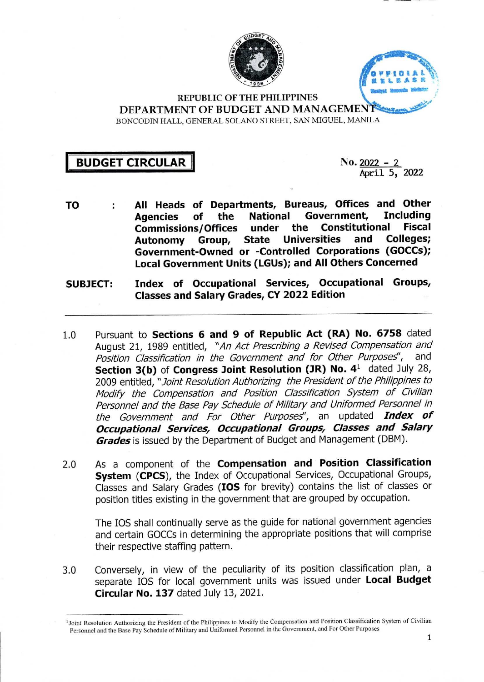



REPUBLIC OF THE PHILIPPINES DEPARTMENT OF BUDGET AND MANAGEMENT BONCODIN HALL, GENERAL SOLANO STREET, SAN MIGUEL, MANILA

## **II BUDGET CIRCULAR || No. <sup>2022</sup>** - <sup>2</sup>

April 5, 2022

- **All Heads of Departments, Bureaus, Offices and Other TO** ÷ **of the National Government, Including Agencies the Constitutional Fiscal Commissions/Offices under Autonomy Group, State Universities and Colleges; Government-Owned or -Controlled Corporations (GOCCs); Local Government Units (LGUs); and All Others Concerned**
- **Index of Occupational Services, Occupational Groups, Classes and Salary Grades, CY 2022 Edition SUBJECT:**
- Pursuant to **Sections 6 and 9 of Republic Act (RA) No. 6758** dated August 21, 1989 entitled, *"An Act Prescribing a Revised Compensation and Position Classification in the Government and for Other Purposes''*, **Section 3(b) of Congress Joint Resolution (JR) No. 4^** dated July 28, 2009 entitled, *"Joint Resolution Authorizing the President ofthe Philippines to Modify the Compensation and Position Classification System of Civilian Personnel* and the Base Pay Schedule of Military and Uniformed Personnel in *the Government and For Other Purposed',* an updated *Index of Occupational Services^ Occupational Groups^ Classes and Salary Grades* is issued by the Department of Budget and Management (DBM). 1.0
- As a component of the **Compensation and Position Classification System (CPCS),** the Index of Occupational Services, Occupational Groups, Classes and Salary Grades **(IDS** for brevity) contains the list of classes or position titles existing in the government that are grouped by occupation. 2.0

The lOS shall continually serve as the guide for national government agencies and certain GOCCs in determining the appropriate positions that will comprise their respective staffing pattern.

Conversely, in view of the peculiarity of its position classification plan, <sup>a</sup> separate lOS for local government units was issued under **Local Budget Circular No. 137** dated July 13, 2021. 3.0

<sup>&</sup>lt;sup>1</sup>Joint Resolution Authorizing the President of the Philippines to Modify the Compensation and Position Classification System of Civilian Personnel and the Base Pay Schedule of Military and Uniformed Personnel in the Government, and For Other Purposes